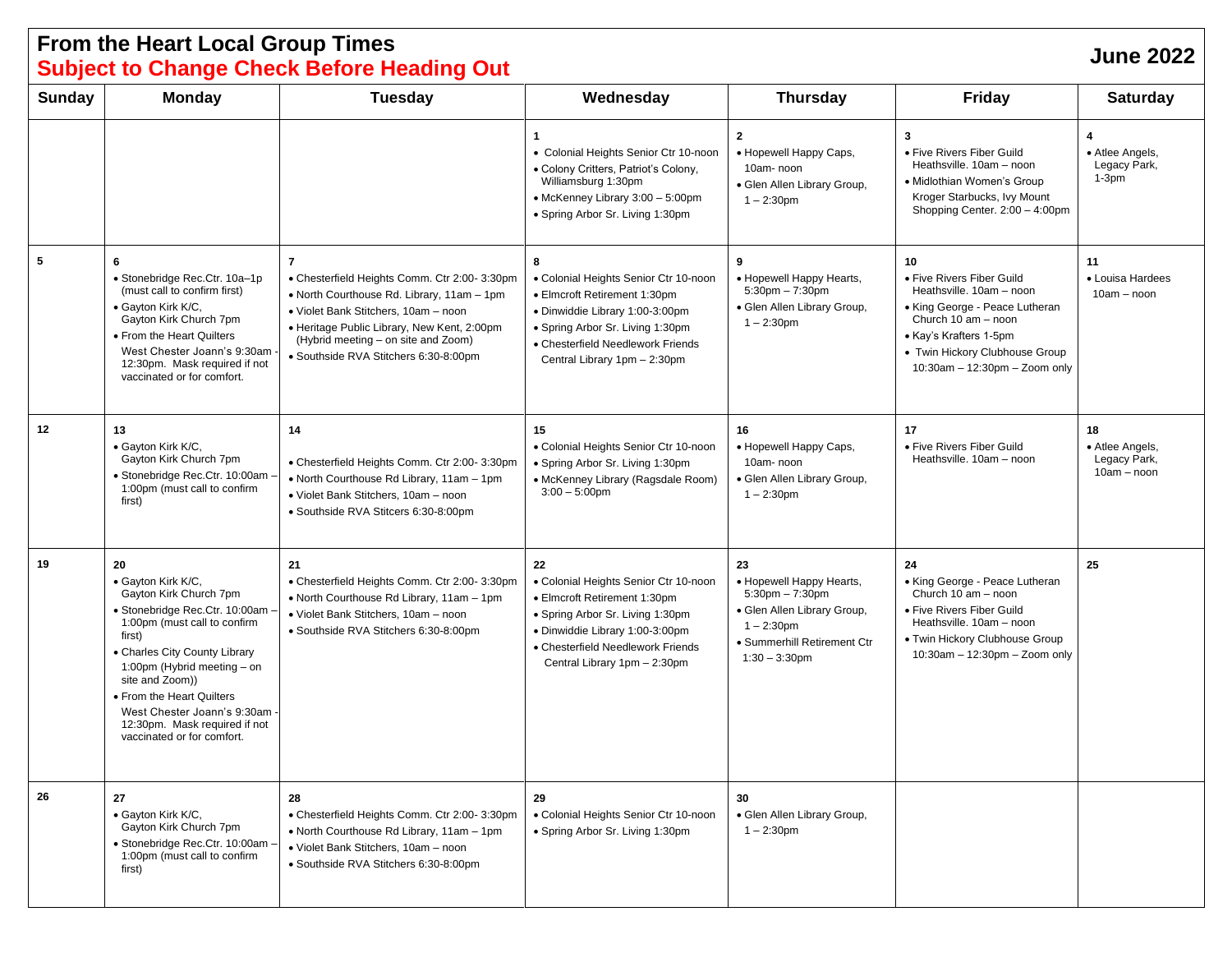## **From the Heart Local Group Times Subject to Change Check Before Heading Out June <sup>2022</sup>**

| Sunday | <b>Monday</b>                                                                                                                                                                                                                                                                                                                                  | <b>Tuesday</b>                                                                                                                                                                                                                                                                       | Wednesday                                                                                                                                                                                                               | <b>Thursday</b>                                                                                                                                           | <b>Friday</b>                                                                                                                                                                                                        | <b>Saturday</b>                                        |
|--------|------------------------------------------------------------------------------------------------------------------------------------------------------------------------------------------------------------------------------------------------------------------------------------------------------------------------------------------------|--------------------------------------------------------------------------------------------------------------------------------------------------------------------------------------------------------------------------------------------------------------------------------------|-------------------------------------------------------------------------------------------------------------------------------------------------------------------------------------------------------------------------|-----------------------------------------------------------------------------------------------------------------------------------------------------------|----------------------------------------------------------------------------------------------------------------------------------------------------------------------------------------------------------------------|--------------------------------------------------------|
|        |                                                                                                                                                                                                                                                                                                                                                |                                                                                                                                                                                                                                                                                      | $\mathbf{1}$<br>• Colonial Heights Senior Ctr 10-noon<br>• Colony Critters, Patriot's Colony,<br>Williamsburg 1:30pm<br>• McKenney Library 3:00 - 5:00pm<br>• Spring Arbor Sr. Living 1:30pm                            | $\mathbf{2}$<br>• Hopewell Happy Caps,<br>10am-noon<br>· Glen Allen Library Group,<br>$1 - 2:30$ pm                                                       | 3<br>• Five Rivers Fiber Guild<br>Heathsville. 10am - noon<br>• Midlothian Women's Group<br>Kroger Starbucks, Ivy Mount<br>Shopping Center. 2:00 - 4:00pm                                                            | 4<br>• Atlee Angels,<br>Legacy Park,<br>$1-3pm$        |
| 5      | 6<br>· Stonebridge Rec.Ctr. 10a-1p<br>(must call to confirm first)<br>· Gayton Kirk K/C,<br>Gayton Kirk Church 7pm<br>• From the Heart Quilters<br>West Chester Joann's 9:30am<br>12:30pm. Mask required if not<br>vaccinated or for comfort.                                                                                                  | $\overline{7}$<br>• Chesterfield Heights Comm. Ctr 2:00- 3:30pm<br>• North Courthouse Rd. Library, 11am - 1pm<br>• Violet Bank Stitchers, 10am - noon<br>• Heritage Public Library, New Kent, 2:00pm<br>(Hybrid meeting - on site and Zoom)<br>· Southside RVA Stitchers 6:30-8:00pm | 8<br>• Colonial Heights Senior Ctr 10-noon<br>• Elmcroft Retirement 1:30pm<br>· Dinwiddie Library 1:00-3:00pm<br>• Spring Arbor Sr. Living 1:30pm<br>• Chesterfield Needlework Friends<br>Central Library 1pm - 2:30pm  | 9<br>• Hopewell Happy Hearts,<br>$5:30$ pm $-7:30$ pm<br>· Glen Allen Library Group,<br>$1 - 2:30$ pm                                                     | 10<br>• Five Rivers Fiber Guild<br>Heathsville. 10am - noon<br>• King George - Peace Lutheran<br>Church 10 am - noon<br>• Kay's Krafters 1-5pm<br>• Twin Hickory Clubhouse Group<br>$10:30$ am - 12:30pm - Zoom only | 11<br>• Louisa Hardees<br>$10am - noon$                |
| 12     | 13<br>· Gayton Kirk K/C,<br>Gayton Kirk Church 7pm<br>· Stonebridge Rec.Ctr. 10:00am<br>1:00pm (must call to confirm<br>first)                                                                                                                                                                                                                 | 14<br>• Chesterfield Heights Comm. Ctr 2:00- 3:30pm<br>. North Courthouse Rd Library, 11am - 1pm<br>• Violet Bank Stitchers, 10am - noon<br>· Southside RVA Stitcers 6:30-8:00pm                                                                                                     | 15<br>• Colonial Heights Senior Ctr 10-noon<br>• Spring Arbor Sr. Living 1:30pm<br>• McKenney Library (Ragsdale Room)<br>$3:00 - 5:00$ pm                                                                               | 16<br>• Hopewell Happy Caps,<br>10am-noon<br>· Glen Allen Library Group,<br>$1 - 2:30$ pm                                                                 | 17<br>• Five Rivers Fiber Guild<br>Heathsville. 10am - noon                                                                                                                                                          | 18<br>• Atlee Angels,<br>Legacy Park,<br>$10am - noon$ |
| 19     | 20<br>· Gayton Kirk K/C,<br>Gayton Kirk Church 7pm<br>· Stonebridge Rec.Ctr. 10:00am ·<br>1:00pm (must call to confirm<br>first)<br>• Charles City County Library<br>1:00pm (Hybrid meeting - on<br>site and Zoom))<br>• From the Heart Quilters<br>West Chester Joann's 9:30am<br>12:30pm. Mask required if not<br>vaccinated or for comfort. | 21<br>• Chesterfield Heights Comm. Ctr 2:00- 3:30pm<br>• North Courthouse Rd Library, 11am - 1pm<br>· Violet Bank Stitchers, 10am - noon<br>· Southside RVA Stitchers 6:30-8:00pm                                                                                                    | 22<br>• Colonial Heights Senior Ctr 10-noon<br>• Elmcroft Retirement 1:30pm<br>• Spring Arbor Sr. Living 1:30pm<br>· Dinwiddie Library 1:00-3:00pm<br>• Chesterfield Needlework Friends<br>Central Library 1pm - 2:30pm | 23<br>• Hopewell Happy Hearts,<br>$5:30$ pm $-7:30$ pm<br>· Glen Allen Library Group,<br>$1 - 2:30$ pm<br>• Summerhill Retirement Ctr<br>$1:30 - 3:30$ pm | 24<br>• King George - Peace Lutheran<br>Church 10 am - noon<br>• Five Rivers Fiber Guild<br>Heathsville. 10am - noon<br>• Twin Hickory Clubhouse Group<br>$10:30$ am - 12:30pm - Zoom only                           | 25                                                     |
| 26     | 27<br>· Gayton Kirk K/C,<br>Gayton Kirk Church 7pm<br>· Stonebridge Rec.Ctr. 10:00am -<br>1:00pm (must call to confirm<br>first)                                                                                                                                                                                                               | 28<br>• Chesterfield Heights Comm. Ctr 2:00- 3:30pm<br>• North Courthouse Rd Library, 11am - 1pm<br>· Violet Bank Stitchers, 10am - noon<br>· Southside RVA Stitchers 6:30-8:00pm                                                                                                    | 29<br>• Colonial Heights Senior Ctr 10-noon<br>• Spring Arbor Sr. Living 1:30pm                                                                                                                                         | 30<br>• Glen Allen Library Group,<br>$1 - 2:30$ pm                                                                                                        |                                                                                                                                                                                                                      |                                                        |